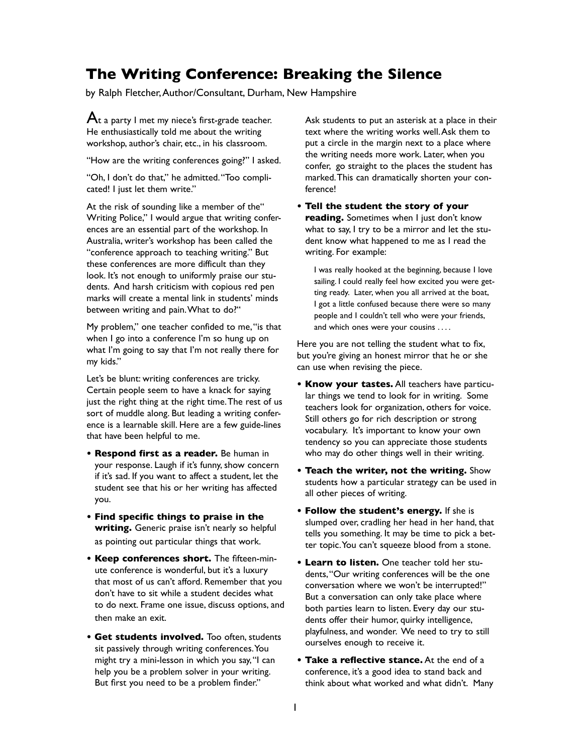## **The Writing Conference: Breaking the Silence**

by Ralph Fletcher, Author/Consultant, Durham, New Hampshire

 $A$ t a party I met my niece's first-grade teacher. He enthusiastically told me about the writing workshop, author's chair, etc., in his classroom.

"How are the writing conferences going?" I asked.

"Oh, I don't do that," he admitted. "Too complicated! I just let them write."

At the risk of sounding like a member of the" Writing Police," I would argue that writing conferences are an essential part of the workshop. In Australia, writer's workshop has been called the "conference approach to teaching writing." But these conferences are more difficult than they look. It's not enough to uniformly praise our students. And harsh criticism with copious red pen marks will create a mental link in students' minds between writing and pain. What to do?"

My problem," one teacher confided to me, "is that when I go into a conference I'm so hung up on what I'm going to say that I'm not really there for my kids."

Let's be blunt: writing conferences are tricky. Certain people seem to have a knack for saying just the right thing at the right time. The rest of us sort of muddle along. But leading a writing conference is a learnable skill. Here are a few guide-lines that have been helpful to me.

- **Respond first as a reader.** Be human in your response. Laugh if it's funny, show concern if it's sad. If you want to affect a student, let the student see that his or her writing has affected you.
- **Find specific things to praise in the writing.** Generic praise isn't nearly so helpful as pointing out particular things that work.
- **Keep conferences short.** The fifteen-minute conference is wonderful, but it's a luxury that most of us can't afford. Remember that you don't have to sit while a student decides what to do next. Frame one issue, discuss options, and then make an exit.
- **Get students involved.** Too often, students sit passively through writing conferences. You might try a mini-lesson in which you say, "I can help you be a problem solver in your writing. But first you need to be a problem finder."

Ask students to put an asterisk at a place in their text where the writing works well. Ask them to put a circle in the margin next to a place where the writing needs more work. Later, when you confer, go straight to the places the student has marked. This can dramatically shorten your conference!

**• Tell the student the story of your reading.** Sometimes when I just don't know what to say, I try to be a mirror and let the student know what happened to me as I read the writing. For example:

I was really hooked at the beginning, because I love sailing. I could really feel how excited you were getting ready. Later, when you all arrived at the boat, I got a little confused because there were so many people and I couldn't tell who were your friends, and which ones were your cousins ....

Here you are not telling the student what to fix, but you're giving an honest mirror that he or she can use when revising the piece.

- **Know your tastes.** All teachers have particular things we tend to look for in writing. Some teachers look for organization, others for voice. Still others go for rich description or strong vocabulary. It's important to know your own tendency so you can appreciate those students who may do other things well in their writing.
- **Teach the writer, not the writing.** Show students how a particular strategy can be used in all other pieces of writing.
- **Follow the student's energy.** If she is slumped over, cradling her head in her hand, that tells you something. It may be time to pick a better topic. You can't squeeze blood from a stone.
- **Learn to listen.** One teacher told her students, "Our writing conferences will be the one conversation where we won't be interrupted!" But a conversation can only take place where both parties learn to listen. Every day our students offer their humor, quirky intelligence, playfulness, and wonder. We need to try to still ourselves enough to receive it.
- **Take a reflective stance.** At the end of a conference, it's a good idea to stand back and think about what worked and what didn't. Many